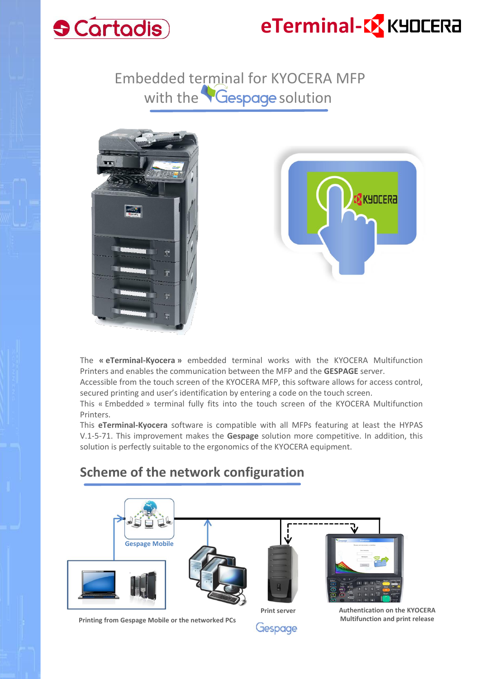

# **eTerminal-C** KYOCERA

Embedded terminal for KYOCERA MFP with the **Gespage** solution





The **« eTerminal-Kyocera »** embedded terminal works with the KYOCERA Multifunction Printers and enables the communication between the MFP and the **GESPAGE** server.

Accessible from the touch screen of the KYOCERA MFP, this software allows for access control, secured printing and user's identification by entering a code on the touch screen.

This « Embedded » terminal fully fits into the touch screen of the KYOCERA Multifunction Printers.

This **eTerminal-Kyocera** software is compatible with all MFPs featuring at least the HYPAS V.1-5-71. This improvement makes the **Gespage** solution more competitive. In addition, this solution is perfectly suitable to the ergonomics of the KYOCERA equipment.

#### **Scheme of the network configuration**



**Printing from Gespage Mobile or the networked PCs**

Gespage

**Multifunction and print release**